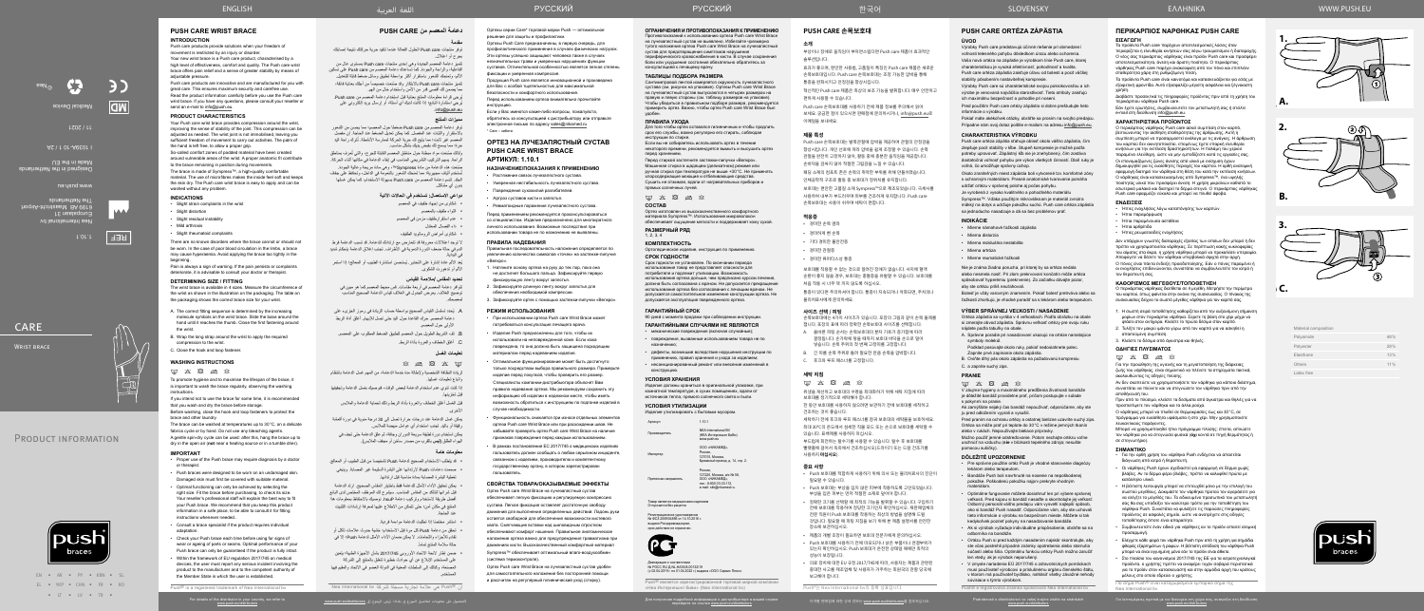

©Nea Medical Device **AD**  الفاعلية، والراحة والجودة. كما تساعدك دعامة المعصم من care Push على تسكين األلم، وتمنحك الشعور باستقرار أكثر بواسطة تطبيق وسائل ضغط قابلة للتعديل. تتميز منتجات Push care بالابتكار وقد صنعت خصيصاً من أجلك بعناية فائقة،



**REF** 

# **CARE**

WRIST BRACE



# PRODUCT INFORMATION



Nea International bv Europalaan 31 6199 AB Maastricht-Airport The Netherlands

Designed in the Netherlands Made in the EU

www.push.eu

I 1039A-10 1 / 2A

11 / 2021

Material composition

| Polyamide  | 48%    |
|------------|--------|
| Polyester  | 28%    |
| Elasthane  | 13%    |
| Others     | $11\%$ |
| Latex free |        |



**1.**

**A.**

**B.**

**C.**



**2.**

**3.**

توفر دعامة المعصم من Push care ضغطاً حول المعصم؛ مما يحسن من الشعور باالستقرار والثبات عند المفصل. كما يمكن تعديل الضغط عند الحاجة. إن مفصل المعصم غير ثابت؛ مما يتيح لك حرية الحركة لممارسة الأنشطة. تُترك راحة اليد حرة؛ مما يسمح لك بقبض يديك بشكل مناسب.



**دعامة المعصم من CARE PUSH مقدمة**

ولذلك صُنعت مواد مبطنة حول مناطق المعصم القابلة للجرح، والتي تُعرف بمناطق الراحة. يسهم التركيب التشريحي المناسب في إبقاء الدعامة في مكانها أثناء الحركة.

توفر منتجات care Push الحلول الفعالة عندما تتقيد حرية حركتك نتيجة إصابتك بجرح أو اعتالل. تتميز دعامة المعصم الجديدة وهي إحدى منتجات care Push ِ بمستوى عال من

يُعد الألم عادة إشارة على التحذير. يُستحسن استشارة الطبيب أو المعالج؛ إذا استمر األلم أو تدهورت الشكوى.

ِ مما يضمن لك أقصى قدر من األمن واستخدام خال من الهم. ُيرجى قراءة معلومات المنتج بعناية قبل استخدام دعامة المعصم من care Push. ُيرجي استشارة البائع؛ إذا كانت لديك أي أسئلة، أو إرسال بريد إلكتروني على

.info@push.eu

**مميزات المنتج**

قبل الغسل أغلق الخطاف والعروة بأداة الربط وذلك لحماية الدعامة والمالبس الأخرى.

ًصنعت هذه الدعامة من مادة Sympress™، وهي مادة مريحة وعالية الجودة. ُستخدم ألياف مجهرية؛ مما تمنحك الشعور بالنعومة في الداخل، وتحافظ على جفاف ت الجلد. تتسم دعامة المعصم من care Push بسهولة االستخدام، كما يمكن غسلها بدون أي مشاكل.

# **دواعي االستعمال: تستخدم في الحاالت اآلتية**

- شكاوى من إجهاد طفيف في المعصم
- التواء طفيف بالمعصم
- عدم استقرارطفيف مزمن في المعصم

 داء الفصال المعتدل

 شكاوى أمراض الروماتويد الطفيف

ال توجد اعتالالت معروفة قد تتعارض مع ارتدائك للدعامة. قد تسبب الدعامة فرط الدم في حالة ضعف الدورة الدموية في األطراف. تجنب إغالق الدعامة بإحكام شديد في البداية.

#### **تحديد المقاس /مالءمة القياس**

Россия,<br>127220, Москва, а/я № 58, ООО «НИКАМЕД», тел.: 8-800-33-33-112, e-mail: skk@nikamed.ru.

»<br>О «НИКАМЕД»

تتوافر دعامة المعصم في أربعة مقاسات. قس محيط المعصم كما هو مبين في توضيح الغالف. يعرض الجدول في الغالف قياس الدعامة الصحيح المناسب لمعصمك.

> .<br>Говар является медицинским изделием Отпускается без рецепта

Декларация о соответствии<br>№ РОСС RU Д-NL.НА38.B.00132/19 (с 02.04.2019 г. по 01.04.2022 г.) выдана «ООО Сервис Плюс»

- . ُيحدد تسلسل القياس الصحيح بواسطة حساب الزيادة في رموز الجزىء على دعامة المعصم. حرك القاعدة حول اليد حتى تصل لإلبهام. أغلق أداة الربط األولى حول المعصم.
- . لف الشريط الطويل حول المعصم لتطبيق الضغط المطلوب على المعصم. . أغلق الخطاف والعروة بأداة الربط.

#### **تعليمات الغسل**

 $\boxtimes$   $\boxtimes$   $\boxtimes$   $\boxtimes$   $\boxtimes$ 

لزيادة النظافة الشخصية وإلطالة مدة خدمة الدعامة، من المهم غسل الدعامة بانتظام واتباع تعليمات غسلها.

аний к использованию ортеза Push care Wrist Brace на лучезапястный сустав не выявлено. Избегайте чрезмерно тугого наложения ортеза Push care Wrist Brace на лучезапястный сустав для предотвращения симптомов нарушения периферического кровоснабжения в кисти. В случае сохранения боли или ухудшения состояния обязательно обратитесь за консультацией к лечащему врачу.

إذا كنت تنوي عدم استخدام الدعامة لبعض الوقت، فنوصيك بغسل الدعامة وتجفيفها قبل تخزينها.

يمكن غسل الدعامة عند درجات حرارة تصل إلى 30 درجة مئوية في دورة أقمشة رقيقة أو باليد. تجنب استخدام أي عوامل مبيضة للمالبس. يمكن استخدام دورة لطيفة سريعة الدوران وجافة، ثم علق الدعامة حتى تجف في

الهواء الطلق )**ليس** بالقرب من مصدر ساخن أو مجفف المالبس(.

#### **معلومات هامة**

- قد يتطلب الاستخدام الصحيح لدعامة Push تشخيصاً من قبل الطبيب أو المعالج. صممت دعامات Push الرتدائها على البشرة السليمة غير المصابة. وينبغي
- تغطية البشرة المصابة بمادة مناسبة قبل ارتدائها. يمكن تحقيق األداء األمثل للدعامة فقط باختيار المقاس الصحيح. ارتد الدعامة قبل شرائها لتتأكد من المقاس المناسب. سيشرح لك الموظف المختص لدى البائع أفضل طريقة الستخدام وتركيب دعامة hsuP. نوصيك باالحتفاظ بمعلومات هذا المنتج في مكان آمن؛ حتى تتمكن من االطالع عليها لمعرفة إرشادات التثبيت عند الحاجة.
	- ً استشر مختصا إذا تطلبت الدعامة مواءمة فردية.
- تحقق من دعامة Push كل مرة قبل االستخدام؛ خشية حدوث عالمات تآكل أو تقادم لألجزاء واللحامات. ال يمكن ضمان األداء األمثل لدعامة Push؛ إال في حالة سلامة المنتج تماماً.

Ортезы серии Care\* торговой марки Push — оптимальное ешение для защиты и профилактики

 ضمن إطار الئحة االتحاد األوروبي 2017/745 بشأن األجهزة الطبية؛ يتعين على المستخدم اإلبالغ عن أي حوادث خطيرة تتعلق بالمنتج إلى الشركة المصنعة، وكذلك إلى السلطات المعنية في الدولة العضو في االتحاد والمقيم فيها المستخدم.

### **ГАРАНТИЙНЫЙ СРОК**

Правильная последовательность наложения определяется по увеличению количества символов «точек» на застежке‑липучке «Beπκηρ»

> 90 дней с момента продажи при соблюдении инструкции. **ГАРАНТИЙНЫМИ СЛУЧАЯМИ НЕ ЯВЛЯЮТСЯ**

• механические повреждения (включая случайные);

• повреждения, вызванные использованием товара не по назначению;

• дефекты, возникшие вследствие нарушения инструкции по применению, правил хранения и ухода за изделием; • несанкционированный ремонт или внесение изменений в

конструкцию.

# **УСЛОВИЯ ХРАНЕНИЯ**

Изделия должны храниться в оригинальной упаковке, при комнатной температуре, в сухих помещениях, вдали от источников тепла, прямого солнечного света и пыли.

### **УСЛОВИЯ УТИЛИЗАЦИИ**

Изделие утилизировать с бытовым мусором.

| Артикул       | 1.10.1                                                       |
|---------------|--------------------------------------------------------------|
| Производитель | NFA International BV<br>(НЕА Интернешнл БиВи)<br>www.push.eu |

| Импортер | ООО «НИКАМЕД».                  |
|----------|---------------------------------|
|          | Россия.                         |
|          | 127015. Москва.                 |
|          | Бумажный проезд, д. 14, стр. 2. |

Претензии направлять

Регистрационное удостоверение № ФСЗ 2009/04856 от 14.10.2016 г. выдано Росздравнадзором, срок действия не ограничен.



Push® является зарегистрированной торговой маркой компании «Неа Интернешнл биви» (Nea International bv)

для получения подробного вашей стране вашей стране и для получения подробного для получения подробного разней вашей стране Усмирия для для для получения подробного Миформации о дистрибьюторе в вашей стране Усмирия подроб

# **ОГРАНИЧЕНИЯ И ПРОТИВОПОКАЗАНИЯ К ПРИМЕНЕНИЮ**

# **ТАБЛИЦЫ ПОДБОРА РАЗМЕРА**

Сантиметровой лентой измеряется окружность лучезапястного сустава (см. рисунок на упаковке). Ортезы Push care Wrist Brace на лучезапястный сустав выпускаются в четырех размерах на правую и левую стороны (см. таблицу размеров на упаковке). Чтобы убедиться в правильном подборе размера, рекомендуется примерить ортез. Важно, чтобы ортез Push care Wrist Brace был удобен.

### **ПРАВИЛА УХОДА**

Для того чтобы ортез оставался гигиеничным и чтобы продлить срок его службы, важно регулярно его стирать, соблюдая инструкции по стирке.

Если вы не собираетесь использовать ортез в течение некоторого времени, рекомендуется вымыть и высушить ортез перед хранением. Перед стиркой застегните застежки-липучки «Велкро». Машинная стирка в щадящем (деликатном) режиме или

ручная стирка при температуре не выше +30°C. Не применять хлорсодержащие моющие и отбеливающие средства. Сушить не отжимая, вдали от нагревательных приборов и прямых солнечных лучей.

# $\qquad \qquad \text{if} \quad \text{X} \quad \text{B} \quad \text{B} \quad \text{B}$

# **СОСТАВ**

Ортез изготовлен из высококачественного комфортного материала Sympress™. Использование микроволокон обеспечивает ощущение мягкости и поддерживает кожу сухой.

#### **РАЗМЕРНЫЙ РЯД**

1, 2, 3, 4

#### **КОМПЛЕКТНОСТЬ** Ортопедическое изделие, инструкция по применению.

#### **СРОК ГОДНОСТИ**

Срок годности не установлен. По окончании периода использования товар не представляет опасности для потребителя и подлежит утилизации. Возможность использования ортеза дольше, чем предписано курсом лечения, должна быть согласована с врачом. Не допускается прекращение использования ортеза без согласования с лечащим врачом. Не допускается самостоятельное изменение конструкции ортеза. Не допускается эксплуатация поврежденного ортеза.

Ортезы Push Care предназначены, в первую очередь, для профилактического применения в случаях физических нагрузок. Эти ортезы успешно защищают человека также в случаях незначительных травм и умеренных нарушениях функции суставов. Отличительной особенностью является легкая степень

фиксации и умеренная компрессия. Продукция Push care является инновационной и произведена для Вас с особой тщательностью для максимальной

безопасности и комфортного использования. Перед использованием ортеза внимательно прочитайте

инструкцию. Если у Вас имеются какие-либо вопросы, пожалуйста,

обратитесь за консультацией к дистрибьютору или отправьте электронное письмо по адресу sales@nikamed.ru \* Care – забота

# **ОРТЕЗ НА ЛУЧЕЗАПЯСТНЫЙ СУСТАВ PUSH CARE WRIST BRACE АРТИКУЛ: 1.10.1**

# **НАЗНАЧЕНИЕ/ПОКАЗАНИЯ К ПРИМЕНЕНИЮ**

- Растяжение связок лучезапястного сустава.
- Умеренная нестабильность лучезапястного сустава.
- Повреждения сухожилий разгибателей.
- Артроз суставов кисти и запястья.
- Ревматоидные поражения лучезапястного сустава.

Перед применением рекомендуется проконсультироваться со специалистом. Изделие предназначено для многократного личного использования. Возможные последствия при использовании товара не по назначению не выявлены.

# **ПРАВИЛА НАДЕВАНИЯ**

- 1. Натяните основу ортеза на руку до тех пор, пока она не достигнет большого пальца. Зафиксируйте первую фиксирующую ленту вокруг запястья.
- 2. Зафиксируйте длинную ленту вокруг запястья для обеспечения необходимой компрессии.
- 3. Зафиксируйте ортез с помощью застежки-липучки «Велкро».

#### **РЕЖИМ ИСПОЛЬЗОВАНИЯ**

- При использовании ортеза Push care Wrist Brace может потребоваться консультация лечащего врача.
- Изделия Push предназначены для того, чтобы их использовали на неповрежденной коже. Если кожа повреждена, то она должна быть защищена подходящим материалом перед надеванием изделия.
- Оптимальное функционирование может быть достигнуто только посредством выбора правильного размера. Примерьте изделие перед покупкой, чтобы проверить его размер. Специалисты компании-дистрибьютора объяснят Вам правила надевания ортеза. Мы рекомендуем сохранить эту информацию об изделии в надежном месте, чтобы иметь возможность обратиться к инструкциям по подгонке изделий в случае необходимости.
- Функциональность снижается при износе отдельных элементов ортеза Push care Wrist Brace или при расхождении швов. Не забывайте проверять ортез Push care Wrist Brace на наличие признаков повреждения перед каждым использованием.
- В рамках постановления ЕС 2017/745 о медицинских изделиях пользователь должен сообщать о любом серьезном инциденте, связанном с изделием, производителю и компетентному государственному органу, в котором зарегистрирован пользователь.

**ΟΔΗΓΙΕΣ ΠΛΥΣΙΜΑΤΟΣ**  $\boxtimes$   $\boxtimes$   $\boxtimes$   $\boxtimes$ 

### **СВОЙСТВА ТОВАРА/ОКАЗЫВАЕМЫЕ ЭФФЕКТЫ**

Ортез Push care Wrist Brace на лучезапястный сустав обеспечивает легкую фиксацию и регулируемую компрессию сустава. Легкая фиксация оставляет достаточную свободу движений для выполнения определенных действий. Ладонь руки остается свободной для обеспечения возможности кистевого хвата. Смягчающие вставки над шиловидным отростком обеспечивают комфорт ношения. Правильное анатомическое наложение ортеза важно для предупреждения травматизма при движениях кисти. Высококачественный комфортный материал Sympress™ обеспечивает оптимальный влаго-воздухообмен (система термоконтроля).

Push care products provide solutions when your freedom of movement is restricted by an injury or disorder.

Push care products are innovative and are manufactured for you with great care. This ensures maximum security and carefree use. Read the product information carefully before you use the Push care wrist brace. If you have any questions, please consult your reseller or

> Ортез Push care Wrist Brace на лучезапястный сустав удобен для самостоятельного наложения без посторонней помощи и рассчитан на регулярный гигиенический уход (стирку).

# **PUSH CARE 손목보호대**

Your Push care wrist brace provides compression around the wrist, improving the sense of stability of the joint. This compression can be adjusted as needed. The wrist joint is not immobilised, leaving you sufficient freedom of movement to carry out activities. The palm of

## **소개**

부상이나 장애로 움직임이 부자연스럽다면 Push care 제품이 효과적인 솔루션입니다.

효과가 좋으며, 편안한 사용법, 고품질이 특징인 Push care 제품은 새로운 손목보호대입니다. Push care 손목보호대는 조정 가능한 압박을 통해 통증을 완화시키고 안정감을 향상시킵니다.

혁신적인 Push care 제품은 최상의 보조 기능을 발휘합니다. 매우 안전하고 편하게 사용할 수 있습니다.

Push care 손목보호대를 사용하기 전에 제품 정보를 주의해서 읽어 보세요. 궁금한 점이 있으시면 판매점에 문의하시거나, info@push.eu로 이메일을 보내세요.

#### **제품 특성**

Push care 손목보호대는 발목관절에 압박을 제공하여 관절의 안정감을 향상시킵니다. 개인 선호에 따라 압박을 쉽게 조정할 수 있습니다. 손목 관절을 완전히 고정하지 않아, 활동 중에 충분한 움직임을 제공합니다.

Slight distortion • Slight residual instability • Mild arthrosis

손바닥을 감싸지 않아 적절한 그립감을 느낄 수 있습니다. 패딩 소재의 컴포트 존은 손목의 취약한 부위를 위해 만들어졌습니다. 인체공학적 구조로 활동 중 보호대가 정위치를 유지합니다.

보호대는 편안한 고품질 소재 Sympress™으로 제조되었습니다. 극세사를 사용하여 내부가 부드러우며 피부를 건조하게 유지합니다. Push care 손목보호대는 사용이 쉬우며 세탁이 편합니다.

**적응증**

# • 경미한 손목 염좌

- 경미하게 삔 손목 • 기타 경미한 불안전증
- 경미한 관절증
- 경미한 류머티스성 통증

보호대를 착용할 수 없는 것으로 알려진 장애가 없습니다. 사지에 혈액

순환이 좋지 않을 경우, 보호대는 충혈증을 유발할 수 있습니다. 보호대를 처음 착용 시 너무 꽉 끼지 않도록 하십시오.

compression to the wrist. C. Close the hook and loop fastene **WASHING INSTRUCTIONS**  $\boxtimes \hspace{0.1cm} \boxtimes \hspace{0.1cm} \boxtimes \hspace{0.1cm} \boxtimes \hspace{0.1cm} \boxtimes \hspace{0.1cm} \boxtimes \hspace{0.1cm} \boxtimes$ 

통증이 있다면 주의하셔야 합니다. 통증이 지속되거나 악화되면, 주치의나 물리치료사에게 문의하세요.

#### **사이즈 선택 / 피팅**

손목보호대에는 4가지 사이즈가 있습니다. 포장의 그림과 같이 손목 둘레를 잽니다. 포장의 표에 따라 정확한 손목보호대 사이즈를 선택합니다.

- A. 올바른 피팅 순서는 손목보호대의 분자 기호가 증가함에 따라 결정됩니다. 손가락에 닿을 때까지 보호대 바닥을 손으로 밀어 넣습니다. 손목 주위의 첫 번째 고정띠를 고정합니다.
- B. 긴 띠를 손목 주위로 돌려 필요한 만큼 손목을 압박합니다. C. 후크와 루프 패스너를 고정합니다.

#### **세탁 지침**

 $\boxtimes \hspace{0.1cm} \boxtimes \hspace{0.1cm} \boxtimes \hspace{0.1cm} \boxtimes \hspace{0.1cm} \boxtimes \hspace{0.1cm} \boxtimes \hspace{0.1cm} \boxtimes$ 

위생을 개선하고 보호대의 수명을 최대화하기 위해 세탁 지침에 따라 보호대를 정기적으로 세탁해야 합니다.

한 동안 보호대를 사용하지 않으려면 보관하기 전에 보호대를 세척하고 건조하는 것이 좋습니다.

세탁하기 전에 후크와 루프 패스너를 잠궈 보호대와 세탁물을 보호하세요. 최대 30°C의 온도에서 섬세한 직물 모드 또는 손으로 보호대를 세탁할 수

있습니다. 표백제를 사용하지 마십시오. 부드럽게 회전하는 탈수기를 사용할 수 있습니다. 탈수 후 보호대를 빨랫줄에 걸어서 옥외에서 건조하십시오(드라이기 또는 드럼 건조기를 사용하지 **마십시오**).

#### **중요 사항**

- Push 보호대를 적합하게 사용하기 위해 의사 또는 물리치료사의 진단이 필요할 수 있습니다.
- Push 보호대는 부상을 입지 않은 피부에 착용하도록 고안되었습니다. 부상을 입은 피부는 먼저 적절한 소재로 덮어야 합니다.
- 정확한 크기를 선택할 때 최적의 기능을 발휘할 수 있습니다. 구입하기 전에 보호대를 착용하여 정당한 크기인지 확인하십시오. 재판매업체의 전문 직원이 Push 보호대를 착용하는 최상의 방법을 설명해 드릴 것입니다. 필요할 때 피팅 지침을 보기 위해 본 제품 설명서를 안전한 장소에 보관하십시오.
- 제품의 개별 조정이 필요하면 보호대 전문가에게 문의하십시오. • Push 보호대를 사용하기 전에 마모되거나 낡은 부품이나 연결부위가 있는지 확인하십시오. Push 보호대가 온전한 상태일 때에만 최적의 성능이 보장됩니다.
- 의료 장치에 대한 EU 규정 2017/745에 따라, 사용자는 제품과 관련된 중대한 사고를 제조업체 및 사용자가 거주하는 회원국의 관할 당국에 보고해야 합니다.

Push®는 Nea International bv의 등록 상표입니다.

한국어

# **PUSH CARE ORTÉZA ZÁPÄSTIA ÚVOD**

Výrobky Push care predstavujú účinné riešenie pri obmedzení voľnosti telesného pohybu dôsledkom úrazu alebo ochorenia. Vaša nová ortéza na zápästie je výrobkom línie Push care, ktorej charakteristikou je vysoká efektívnosť, pohodlnosť a kvalita. Push care ortéza zápästia zaisťuje úľavu od bolesti a pocit väčšej stability pôsobením nastaviteľnej kompresie.

Výrobky Push care sú charakteristické svojou pokrokovosťou a ich výrobe je venovaná najväčšia starostlivosť. Tieto atribúty zaisťujú ich maximálnu bezpečnosť a pohodlie pri nosení.

Pred použitím Push care ortézy zápästia si dobre preštudujte tieto informácie o výrobku.

Pokiaľ máte akékoľvek otázky, obráťte sa prosím na svojho predajcu. Prípadne nám svoj dotaz pošlite e-mailom na adresu info@push.eu.

### **CHARAKTERISTIKA VÝROBKU**

Push care ortéza zápätia sťahuje oblasť okolo vášho zápästia, čím zlepšuje pocit stability v kĺbe. Stupeň kompresie je možné podľa potreby upravovať. Zápästný kĺb nie je znehybnený, čím zostáva dostatočná voľnosť pohybu pre výkon všetkých činností. Dlaň ruky je voľná, čo umožňuje správny úchop.

Okolo zraniteľných miest zápästia boli vytvorené tzv. komfortné zóny s ochranným materiálom. Presné anatomické tvarovanie pomáha udržať ortézu v správnej polohe aj počas pohybu. Je vyrobená z vysoko kvalitného a pohodlného materiálu Sympress™. Vďaka použitým mikrovláknam je materiál zvnútra

mäkký na dotyk a udržuje pokožku suchú. Push care ortéza zápästia sa jednoducho nasadzuje a dá sa bez problémov prať.

# **INDIKÁCIE**

- Mierne námahové ťažkosti zápästia
- Mierna distorzia
- Mierna reziduálna nestabilita
- Mierna artróza
- Mierne reumatické ťažkosti

Nie je známa žiadna porucha, pri ktorej by sa ortéza nedala alebo nesmela nosiť. Pri zlom prekrvovaní končatín môže ortéza spôsobovať hyperémiu (prekrvenie). Zo začiatku dávajte pozor, aby ste ortézu príliš neuťahovali.

Bolesť je vždy varovným znamením. Pokiaľ bolesť pretrváva alebo sa ťažkosti zhoršujú, je vhodné poradiť sa s lekárom alebo terapeutom.

### **VÝBER SPRÁVNEJ VEĽKOSTI / NASADENIE**

Ortéza zápästia sa vyrába v 4 veľkostiach. Podľa obrázku na obale si zmerajte obvod zápästia. Správnu veľkosť ortézy pre svoju ruku nájdete podľa tabuľky na obale.

- A. Správne poradie pri nasadzovaní ukazujú na ortéze narastajúce symboly molekúl.
- Podklad posúvajte okolo ruky, pokiaľ nedosiahnete palec.
- Zapnite prvé zapínanie okolo zápästia. B. Oviňte dlhý pás okolo zápästia na požadovanú kompresiu
- C. a zapnite suchý zips.

#### **PRANIE**

V záujme hygieny a maximálneho predĺženia životnosti bandáže je dôležité bandáž pravidelne prať, pričom postupujte v súlade

s pokynmi na pranie. Ak zamýšľate nejaký čas bandáž nepoužívať, odporúčame, aby ste ju pred odložením vyprali a vysušili.

Pred praním na ochranu ortézy a ostatnej bielizne uzavrite suchý zips. Ortéza sa môže prať pri teplote do 30°C v režime jemných tkanín alebo v rukách. Nepoužívajte bieliace prípravky.

Možno použiť jemné odstreďovanie. Potom nechajte ortézu voľne uschnúť na vzduchu (**nie** v blízkosti tepelného zdroja; nesušte

pomocou sušičky).

**DÔLEŽITÉ UPOZORNENIE**

• Pre správne použitie ortéz Push je vhodné stanovenie diagnózy

lekárom alebo terapeutom.

• Bandáže Push boli navrhnuté na nosenie na nepoškodenej pokožke. Poškodenú pokožku najprv prekryte vhodným

Podrobnosti o distribútorovi vo vašej krajine zistíte na stránkách<br>www.push.eu/distributors

materiálom.

• Optimálne fungovanie môžete dosiahnuť len pri výbere správnej veľkosti. Pred kúpou si bandáž nasaďte a skontrolujte jej veľkosť. Odborný personál vášho predajcu vám vysvetlí najlepší spôsob, ako si bandáž Push nasadiť. Odporúčame vám, aby ste uchovali tieto informácie o výrobku na bezpečnom mieste. Môžete si tak kedykoľvek pozrieť pokyny na nasadzovanie bandáže. • Ak si výrobok vyžaduje individuálne prispôsobenie, obráťte sa na

odborníka na bandáže.

• Ortézu Push si pred každým nasadením najskôr skontrolujte, aby ste včas postrehli prípadné známky opotrebenia alebo starnutia súčastí alebo šitia. Optimálnu funkciu ortézy Push možno zaručiť

len vtedy, ak je výrobok neporušený.

• V zmysle nariadenia EÚ 2017/745 o zdravotníckych pomôckach musí používateľ výrobcovi a príslušnému orgánu členského štátu, v ktorom má používateľ bydlisko, nahlásiť všetky závažné nehody

súvisiace s týmto výrobkom.

 $\text{M} \times \text{B} \geqslant \text{R}$ 

Push® e registrovaná známka spoločnosti Nea International bv

ι<br>επτομέρειες σχετικά με τον διανομέα στη χώρα σας, ανατρέξτε στη διεύθυν<br>σημεία στη συναίσηση του συναίσει αποτελεί

SLOVENSKY

**ΠΕΡΙΚΑΡΠΙΟΣ ΝΑΡΘΗΚΑΣ PUSH CARE**

**ΕΙΣΑΓΩΓΗ**

Τα προϊόντα Push care παρέχουν αποτελεσματικές λύσεις όταν περιορίζεται η ελευθερία κινήσεών σας λόγω τραυματισμού ή διαταραχής. Ο νέος σας περικάρπιος νάρθηκας είναι προϊόν Push care και προσφέρει αποτελεσματικότητα, άνεση και άριστη ποιότητα. Ο περικάρπιος νάρθηκας Push care παρέχει ανακούφιση από τον πόνο και επιπλέον

σταθερότητα χάρη στη ρυθμιζόμενη πίεση.

Τα προϊόντα Push care είναι καινοτόμα και κατασκευάζονται για εσάς με εξαιρετική φροντίδα. Αυτό εξασφαλίζει μέγιστη ασφάλεια και ξέγνοιαστη

χρήση.

Διαβάστε προσεκτικά τις πληροφορίες προϊόντος πριν από τη χρήση του

περικάρπιου νάρθηκα Push care.

Εάν έχετε ερωτήσεις, συμβουλευτείτε τον μεταπωλητή σας ή στείλτε

e-mail στη διεύθυνση info@push.eu. **ΧΑΡΑΚΤΗΡΙΣΤΙΚΑ ΠΡΟΪΟΝΤΟΣ**

Ο περικάρπιος νάρθηκας Push care ασκεί συμπίεση στον καρπό, βελτιώνοντας την αίσθηση σταθερότητας της άρθρωσης. Αυτή η συμπίεση μπορεί να προσαρμοστεί ανάλογα με τις ανάγκες. Η άρθρωση του καρπού δεν ακινητοποιείται, επομένως έχετε επαρκή ελευθερία κινήσεων για την εκτέλεση δραστηριοτήτων. Η παλάμη του χεριού παραμένει ελεύθερη, ώστε να μην εμποδίζεστε κατά τις εργασίες σας. Οι επονομαζόμενες ζώνες άνεσης από υλικό με ενίσχυση έχουν δημιουργηθεί για τις ευαίσθητες περιοχές του καρπού. Η ορθή ανατομική εφαρμογή διατηρεί τον νάρθηκα στη θέση του κατά την εκτέλεση κινήσεων. Ο νάρθηκας είναι κατασκευασμένος από Sympress™, ένα υψηλής ποιότητας υλικό που προσφέρει άνεση. Η χρήση μικροϊνών καθιστά το εσωτερικό μαλακό και διατηρεί το δέρμα στεγνό. Ο περικάρπιος νάρθηκας

Push care εφαρμόζει εύκολα και μπορεί να πλυθεί άφοβα.

**ΕΝΔΕΙΞΕΙΣ**

• Ήπιες ενοχλήσεις λόγω καταπόνησης των καρπών

• Ήπια παραμόρφωση • Ήπια παραμένουσα αστάθεια • Ήπια αρθρίτιδα

• Ήπιες ρευματοειδείς ενοχλήσεις

Δεν υπάρχουν γνωστές διαταραχές εξαιτίας των οποίων δεν μπορεί ή δεν πρέπει να χρησιμοποιείται νάρθηκας. Σε περίπτωση κακής κυκλοφορίας του αίματος στα άκρα, η χρήση νάρθηκα μπορεί να προκαλέσει υπεραιμία. Αποφύγετε να δέσετε τον νάρθηκα υπερβολικά σφιχτά στην αρχή. Ο πόνος είναι πάντα ένδειξη προειδοποίησης. Εάν ο πόνος παραμένει ή οι ενοχλήσεις επιδεινώνονται, συνιστάται να συμβουλευτείτε τον ιατρό ή

τον θεραπευτή σας.

**ΚΑΘΟΡΙΣΜΟΣ ΜΕΓΕΘΟΥΣ/ΤΟΠΟΘΕΤΗΣΗ**

Ο περικάρπιος νάρθηκας διατίθεται σε 4 μεγέθη. Μετρήστε την περίμετρο του καρπού, όπως φαίνεται στην εικόνα της συσκευασίας. Ο πίνακας της συσκευασίας δείχνει το σωστό μέγεθος νάρθηκα για τον καρπό σας. 1. Η σωστή σειρά τοποθέτησης καθορίζεται από την αυξανόμενη σήμανση μορίων στον περικάρπιο νάρθηκα. Σύρετε τη βάση στο χέρι μέχρι να φτάσει στον αντίχειρα. Κλείστε το πρώτο δέσιμο στον καρπό. 2. Τυλίξτε τον μακρύ ιμάντα γύρω από τον καρπό για να ασκηθεί η

απαιτούμενη συμπίεση.

3. Κλείστε το δέσιμο από άγκιστρα και θηλιές.

Για την προώθηση της υγιεινής και τη μεγιστοποίηση της διάρκειας ζωής του νάρθηκας, είναι σημαντικό να πλένετε τα στηρίγματα τακτικά,

ακολουθώντας τις οδηγίες πλύσης.

Αν δεν σκοπεύετε να χρησιμοποιήσετε τον νάρθηκα για κάποιο διάστημα, συνιστάται να πλύνετε και να στεγνώσετε τον νάρθηκα πριν από την

αποθήκευσή του.

Πριν από το πλύσιμο, κλείστε τα δεσίματα από άγκιστρα και θηλιές για να

προστατέψετε τον νάρθηκα και τα άλλα ρούχα.

Ο νάρθηκας μπορεί να πλυθεί σε θερμοκρασίες έως και 30°C, σε πρόγραμμα για ευαίσθητα υφάσματα ή στο χέρι. Μην χρησιμοποιείτε

λευκαντικούς παράγοντες.

Μπορεί να χρησιμοποιηθεί ήπιο πρόγραμμα πλύσης: έπειτα, απλώστε τον νάρθηκα για να στεγνώσει φυσικά (**όχι** κοντά σε πηγή θερμότητας ή

σε στεγνωτήριο). **ΣΗΜΑΝΤΙΚΟ**

• Για την ορθή χρήση του νάρθηκα Push ενδέχεται να απαιτείται

διάγνωση από ιατρό ή θεραπευτή.

• Οι νάρθηκες Push έχουν σχεδιαστεί για εφαρμογή σε δέρμα χωρίς βλάβες. Αν το δέρμα φέρει βλάβες, πρέπει να καλυφθεί πρώτα με

κατάλληλο υλικό.

• Η βέλτιστη λειτουργία μπορεί να επιτευχθεί μόνο με την επιλογή του σωστού μεγέθους. Δοκιμάστε τον νάρθηκα προτού τον αγοράσετε για να ελέγξτε το μέγεθός του. Το ειδικευμένο προσωπικό του μεταπωλητή σας θα σας υποδείξει τον καλύτερο τρόπο για την τοποθέτηση του νάρθηκα Push. Συνιστάται να φυλάξετε τις παρούσες πληροφορίες προϊόντος σε ασφαλές σημείο, ώστε να ανατρέχετε στις οδηγίες

τοποθέτησης όποτε είναι απαραίτητο.

• Συμβουλευτείτε έναν ειδικό για νάρθηκες αν το προϊόν απαιτεί ατομική

προσαρμογή.

• Ελέγχετε κάθε φορά τον νάρθηκα Push πριν από τη χρήση για σημάδια φθοράς εξαρτημάτων ή ραφών. Η βέλτιστη απόδοση του νάρθηκα Push μπορεί να είναι εγγυημένη μόνο εάν το προϊόν είναι άθικτο. • Στο πλαίσιο του κανονισμού 2017/745 της ΕΕ για τα ιατροτεχνολογικά προϊόντα, ο χρήστης πρέπει να αναφέρει τυχόν σοβαρά περιστατικά για το προϊόν στον κατασκευαστή και στην αρμόδια αρχή του κράτους

μέλους στο οποίο εδρεύει ο χρήστης.

IΤο σήμα Push® είναι καταχωρισμένο εμπορικό σήμα της

Nea International bv

ΕΛΛΗΝΙΚΆ

**PUSH CARE WRIST BRACE**

**INTRODUCTION**

adiustable pressure.

Your new wrist brace is a Push care product, characterised by a high level of effectiveness, comfort and quality. The Push care wrist brace offers pain relief and a sense of greater stability by means of

send an e-mail to info@push.eu. **PRODUCT CHARACTERISTICS**

the hand is left free, to allow a proper grip.

So-called comfort zones of padded material have been created around vulnerable areas of the wrist. A proper anatomic fit contribute

to the brace remaining in position during movements. The brace is made of Sympress™, a high-quality comfortable material. The use of microfibres makes the inside feel soft and keeps the skin dry. The Push care wrist brace is easy to apply and can be

washed without any problem.

Slight rheumatoid complaints

**INDICATIONS**

• Slight strain complaints in the wrist

There are no known disorders where the brace cannot or should not be worn. In the case of poor blood circulation in the limbs, a brace may cause hyperaemia. Avoid applying the brace too tightly in the

beginning.

Pain is always a sign of warning. If the pain persists or complaints deteriorate, it is advisable to consult your doctor or therapist.

**DETERMINING SIZE / FITTING**

The wrist brace is available in 4 sizes. Measure the circumference of the wrist as shown in the illustration on the packaging. The table on the packaging shows the correct brace size for your wrist. A. The correct fitting sequence is determined by the increasing molecule symbols on the wrist brace. Slide the base around the hand until it reaches the thumb. Close the first fastening around

the wrist.

B. Wrap the long strap around the wrist to apply the required

To promote hygiene and to maximise the lifespan of the brace, it is important to wash the brace regularly, observing the washing

instructions.

If you intend not to use the brace for some time, it is recommended

that you wash and dry the brace before storage.

Before washing, close the hook and loop fasteners to protect the

brace and other laundry.

The brace can be washed at temperatures up to 30°C, on a delicate fabrics cycle or by hand. Do not use any bleaching agents. A gentle spin-dry cycle can be used: after this, hang the brace up to

### dry in the open air (**not** near a heating source or in a tumble drier). **IMPORTANT** • Proper use of the Push brace may require diagnosis by a doctor or therapist. • Push braces were designed to be worn on an undamaged skin. Damaged skin must first be covered with suitable material.

- Optimal functioning can only be achieved by selecting the right size. Fit the brace before purchasing, to check its size. Your reseller's professional staff will explain the best way to fit your Push brace. We recommend that you keep this product information in a safe place, to be able to consult it for fitting instructions whenever needed..
- Consult a brace specialist if the product requires individual adaptation.
- Check your Push brace each time before using for signs of wear or ageing of parts or seams. Optimal performance of your Push brace can only be guaranteed if the product is fully intact.
- Within the framework of EU regulation 2017/745 on medical devices, the user must report any serious incident involving the product to the manufacturer and to the competent authority of the Member State in which the user is established.

Push® is a registered trademark of Nea International bv

For details of the distributor in your country, we refer to معلومات لتفاصيل الموزع في بلدك؛ يُرجى الرجوع إلى www.p<u>ush.eu/distributors</u><br>www.<u>push.eu/distributors</u> of the distributor in your country, we refer to<br>www.push.eu/distributors